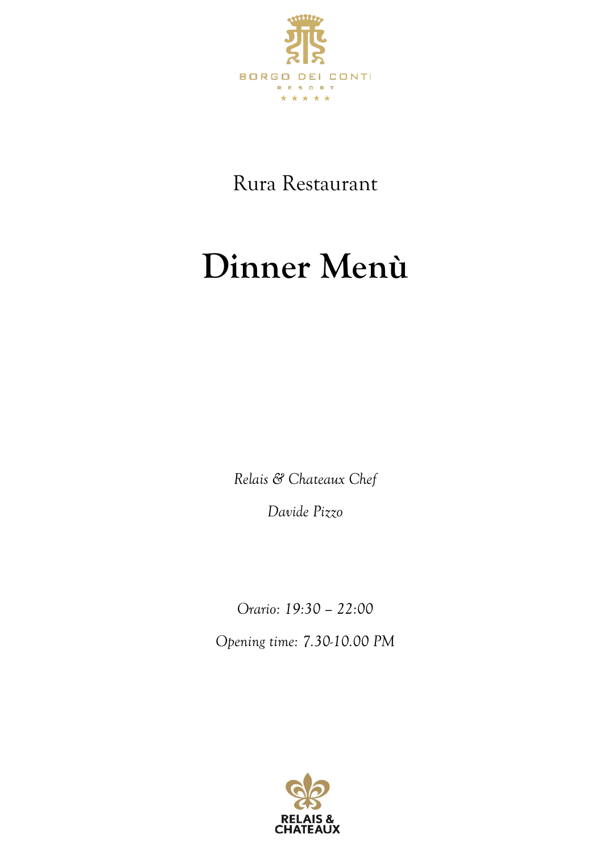

Rura Restaurant

# **Dinner Menù**

*Relais & Chateaux Chef*

*Davide Pizzo*

*Orario: 19:30 – 22:00 Opening time: 7.30-10.00 PM* 

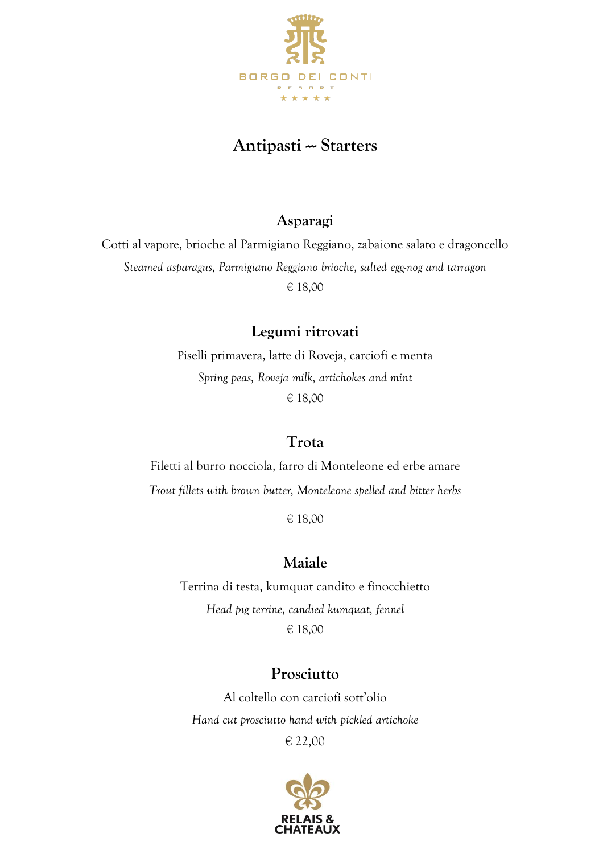

#### **Antipasti --- Starters**

#### **Asparagi**

Cotti al vapore, brioche al Parmigiano Reggiano, zabaione salato e dragoncello *Steamed asparagus, Parmigiano Reggiano brioche, salted egg-nog and tarragon* € 18,00

#### **Legumi ritrovati**

Piselli primavera, latte di Roveja, carciofi e menta *Spring peas, Roveja milk, artichokes and mint* € 18,00

#### **Trota**

Filetti al burro nocciola, farro di Monteleone ed erbe amare *Trout fillets with brown butter, Monteleone spelled and bitter herbs*

€ 18,00

#### **Maiale**

Terrina di testa, kumquat candito e finocchietto *Head pig terrine, candied kumquat, fennel* € 18,00

#### **Prosciutto**

Al coltello con carciofi sott'olio *Hand cut prosciutto hand with pickled artichoke* € 22,00

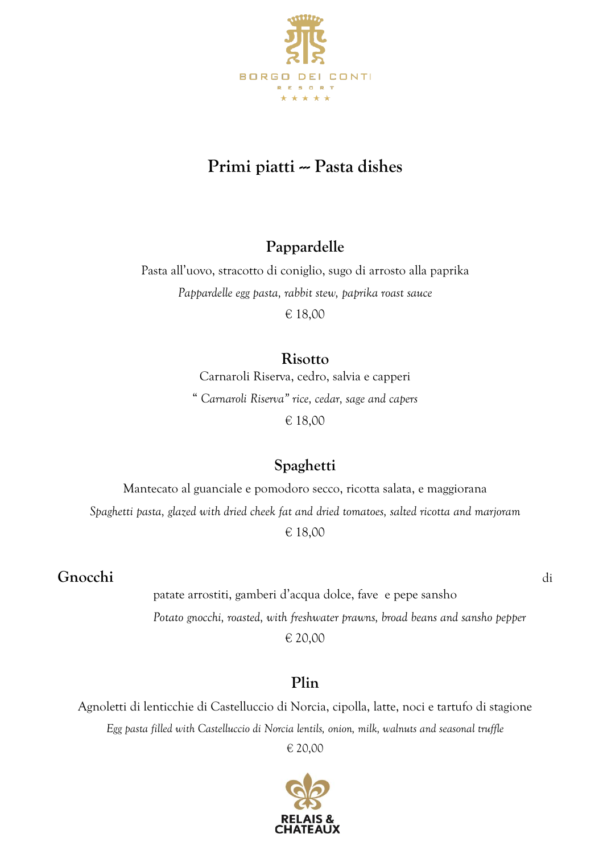

## **Primi piatti -- Pasta dishes**

#### **Pappardelle**

Pasta all'uovo, stracotto di coniglio, sugo di arrosto alla paprika *Pappardelle egg pasta, rabbit stew, paprika roast sauce* € 18,00

#### **Risotto**

Carnaroli Riserva, cedro, salvia e capperi " *Carnaroli Riserva" rice, cedar, sage and capers* € 18,00

#### **Spaghetti**

Mantecato al guanciale e pomodoro secco, ricotta salata, e maggiorana *Spaghetti pasta, glazed with dried cheek fat and dried tomatoes, salted ricotta and marjoram* € 18,00

#### **Gnocchi** di

patate arrostiti, gamberi d'acqua dolce, fave e pepe sansho *Potato gnocchi, roasted, with freshwater prawns, broad beans and sansho pepper* € 20,00

#### **Plin**

Agnoletti di lenticchie di Castelluccio di Norcia, cipolla, latte, noci e tartufo di stagione *Egg pasta filled with Castelluccio di Norcia lentils, onion, milk, walnuts and seasonal truffle*

€ 20,00

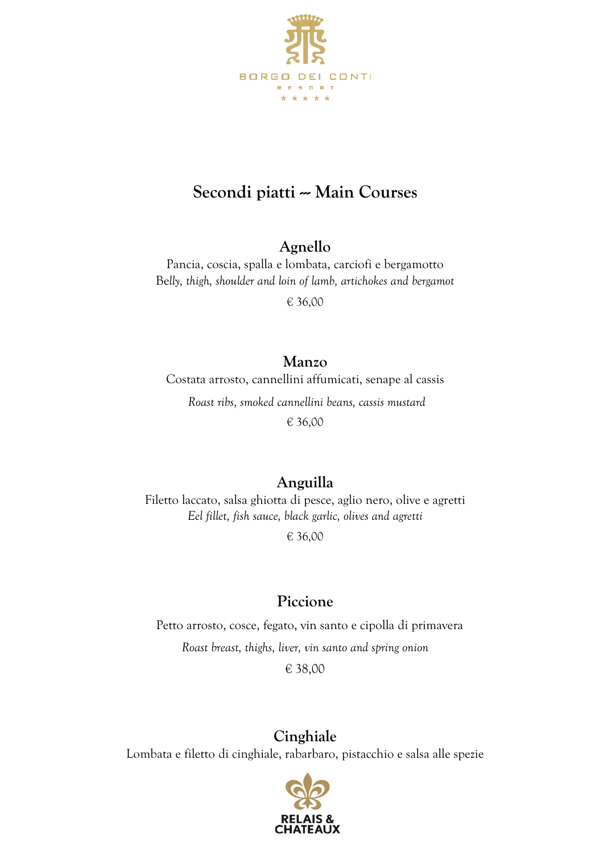

## Secondi piatti -- Main Courses

#### **Agnello**

Pancia, coscia, spalla e lombata, carciofi e bergamotto Be*lly, thigh, shoulder and loin of lamb, artichokes and bergamot*

€ 36,00

#### **Manzo**

Costata arrosto, cannellini affumicati, senape al cassis

*Roast ribs, smoked cannellini beans, cassis mustard*

€ 36,00

### **Anguilla**

Filetto laccato, salsa ghiotta di pesce, aglio nero, olive e agretti *Eel fillet, fish sauce, black garlic, olives and agretti*

€ 36,00

### **Piccione**

 Petto arrosto, cosce, fegato, vin santo e cipolla di primavera *Roast breast, thighs, liver, vin santo and spring onion* € 38,00

**Cinghiale** 

Lombata e filetto di cinghiale, rabarbaro, pistacchio e salsa alle spezie

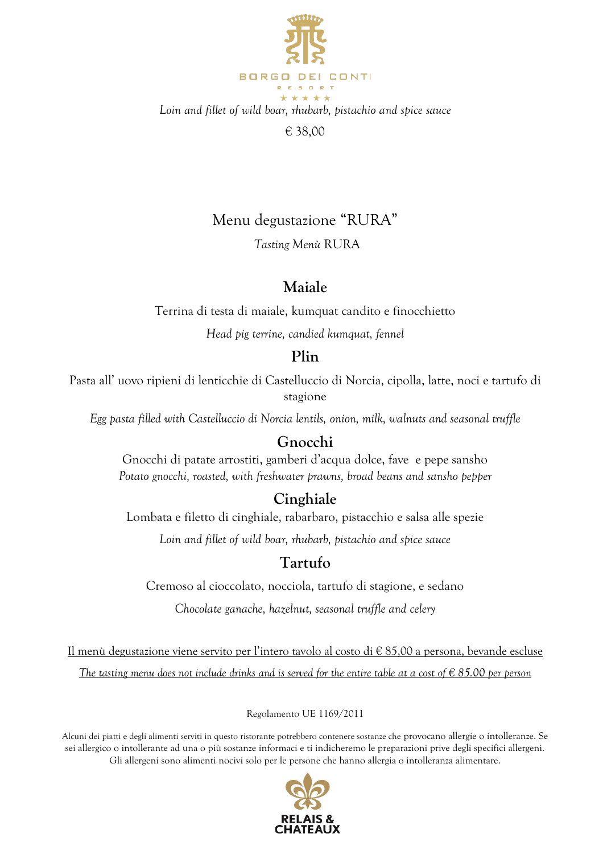

*Loin and fillet of wild boar, rhubarb, pistachio and spice sauce*

€ 38,00

#### Menu degustazione "RURA"

*Tasting Menù* RURA

#### **Maiale**

Terrina di testa di maiale, kumquat candito e finocchietto

*Head pig terrine, candied kumquat, fennel*

#### **Plin**

Pasta all' uovo ripieni di lenticchie di Castelluccio di Norcia, cipolla, latte, noci e tartufo di stagione

*Egg pasta filled with Castelluccio di Norcia lentils, onion, milk, walnuts and seasonal truffle*

#### **Gnocchi**

Gnocchi di patate arrostiti, gamberi d'acqua dolce, fave e pepe sansho *Potato gnocchi, roasted, with freshwater prawns, broad beans and sansho pepper*

#### **Cinghiale**

Lombata e filetto di cinghiale, rabarbaro, pistacchio e salsa alle spezie

*Loin and fillet of wild boar, rhubarb, pistachio and spice sauce*

#### **Tartufo**

Cremoso al cioccolato, nocciola, tartufo di stagione, e sedano

*Chocolate ganache, hazelnut, seasonal truffle and celery*

Il menù degustazione viene servito per l'intero tavolo al costo di € 85,00 a persona, bevande escluse *The tasting menu does not include drinks and is served for the entire table at a cost of € 85.00 per person*

Regolamento UE 1169/2011

Alcuni dei piatti e degli alimenti serviti in questo ristorante potrebbero contenere sostanze che provocano allergie o intolleranze. Se sei allergico o intollerante ad una o più sostanze informaci e ti indicheremo le preparazioni prive degli specifici allergeni. Gli allergeni sono alimenti nocivi solo per le persone che hanno allergia o intolleranza alimentare.

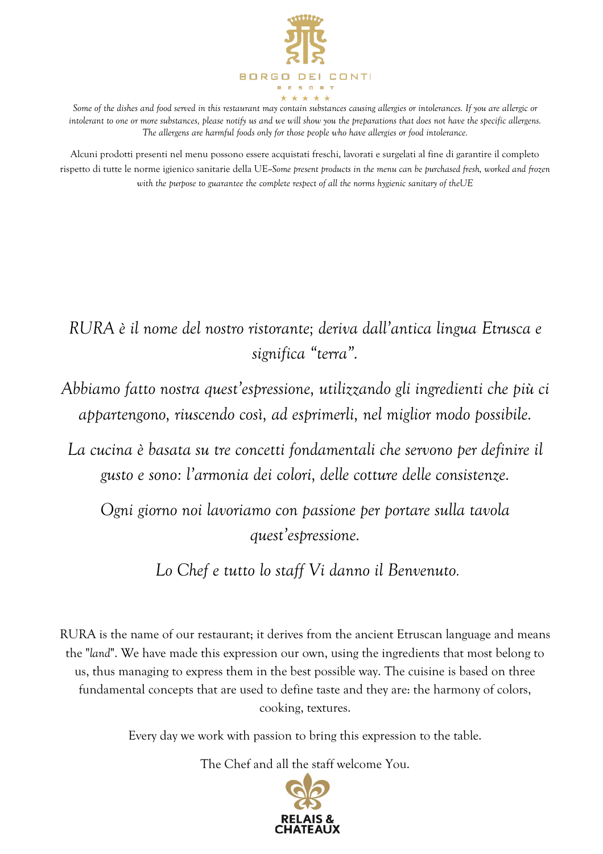

Some of the dishes and food served in this restaurant may contain substances causing allergies or intolerances. If you are allergic or intolerant to one or more substances, please notify us and we will show you the *preparations that does not have the specific allergens*. *The allergens are harmful foods only for those people who have allergies or food intolerance.*

Alcuni prodotti presenti nel menu possono essere acquistati freschi, lavorati e surgelati al fine di garantire il completo rispetto di tutte le norme igienico sanitarie della UE--*Some present products in the menu can be purchased fresh, worked and frozen with the purpose to guarantee the complete respect of all the norms hygienic sanitary of theUE*

## *RURA è il nome del nostro ristorante; deriva dall'antica lingua Etrusca e significa "terra".*

*Abbiamo fatto nostra quest'espressione, utilizzando gli ingredienti che più ci appartengono, riuscendo così, ad esprimerli, nel miglior modo possibile.*

*La cucina è basata su tre concetti fondamentali che servono per definire il gusto e sono: l'armonia dei colori, delle cotture delle consistenze.*

*Ogni giorno noi lavoriamo con passione per portare sulla tavola quest'espressione.*

*Lo Chef e tutto lo staff Vi danno il Benvenuto.*

RURA is the name of our restaurant; it derives from the ancient Etruscan language and means the "*land*". We have made this expression our own, using the ingredients that most belong to us, thus managing to express them in the best possible way. The cuisine is based on three fundamental concepts that are used to define taste and they are: the harmony of colors, cooking, textures.

Every day we work with passion to bring this expression to the table.

The Chef and all the staff welcome You.